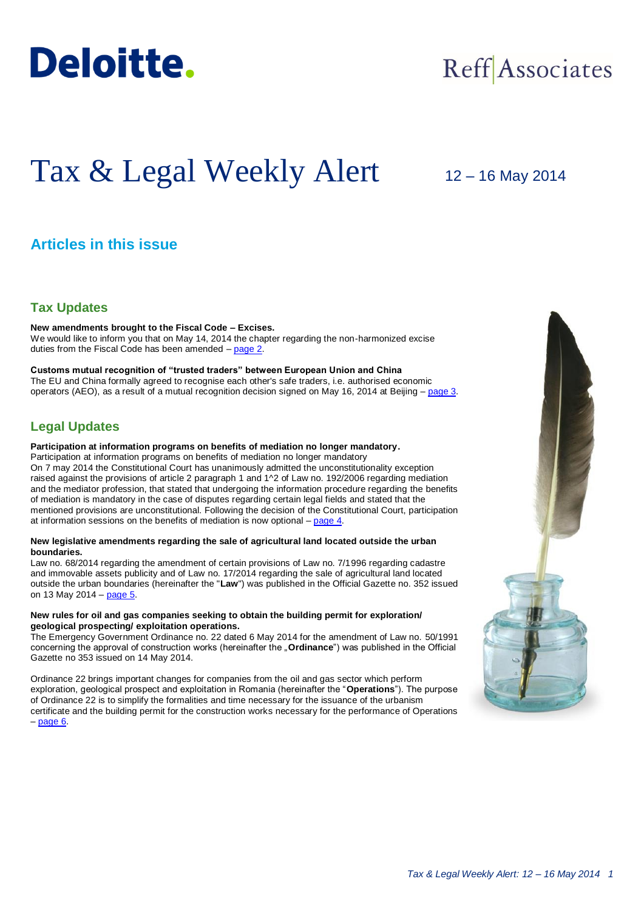

## Reff Associates

# Tax & Legal Weekly Alert

## 12 – 16 May 2014

## **Articles in this issue**

## **Tax Updates**

**New amendments brought to the Fiscal Code – Excises.** We would like to inform you that on May 14, 2014 the chapter regarding the non-harmonized excise duties from the Fiscal Code has been amended – [page 2.](#page-1-0)

**Customs mutual recognition of "trusted traders" between European Union and China** The EU and China formally agreed to recognise each other's safe traders, i.e. authorised economic operators (AEO), as a result of a mutual recognition decision signed on May 16, 2014 at Beijing – [page 3.](#page-2-0)

## **Legal Updates**

#### **Participation at information programs on benefits of mediation no longer mandatory.**

Participation at information programs on benefits of mediation no longer mandatory On 7 may 2014 the Constitutional Court has unanimously admitted the unconstitutionality exception raised against the provisions of article 2 paragraph 1 and 1^2 of Law no. 192/2006 regarding mediation and the mediator profession, that stated that undergoing the information procedure regarding the benefits of mediation is mandatory in the case of disputes regarding certain legal fields and stated that the mentioned provisions are unconstitutional. Following the decision of the Constitutional Court, participation at information sessions on the benefits of mediation is now optional – [page 4.](#page-3-0)

#### **New legislative amendments regarding the sale of agricultural land located outside the urban boundaries.**

Law no. 68/2014 regarding the amendment of certain provisions of Law no. 7/1996 regarding cadastre and immovable assets publicity and of Law no. 17/2014 regarding the sale of agricultural land located outside the urban boundaries (hereinafter the "**Law**") was published in the Official Gazette no. 352 issued on 13 May 2014 – [page 5.](#page-4-0)

#### **New rules for oil and gas companies seeking to obtain the building permit for exploration/ geological prospecting/ exploitation operations.**

The Emergency Government Ordinance no. 22 dated 6 May 2014 for the amendment of Law no. 50/1991 concerning the approval of construction works (hereinafter the "Ordinance") was published in the Official Gazette no 353 issued on 14 May 2014.

Ordinance 22 brings important changes for companies from the oil and gas sector which perform exploration, geological prospect and exploitation in Romania (hereinafter the "**Operations**"). The purpose of Ordinance 22 is to simplify the formalities and time necessary for the issuance of the urbanism certificate and the building permit for the construction works necessary for the performance of Operations  $-$  page  $6.$ 

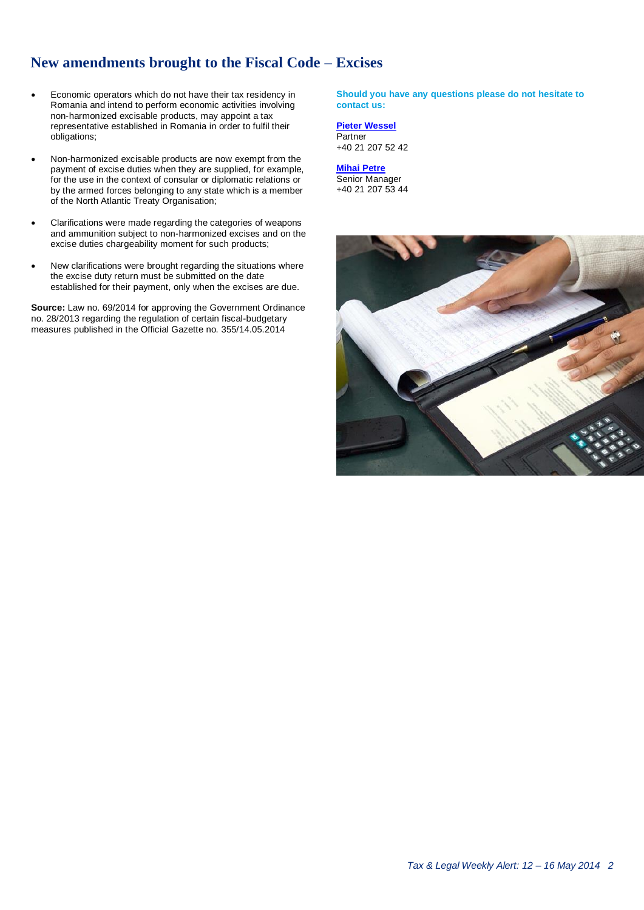## <span id="page-1-0"></span>**New amendments brought to the Fiscal Code – Excises**

- Economic operators which do not have their tax residency in Romania and intend to perform economic activities involving non-harmonized excisable products, may appoint a tax representative established in Romania in order to fulfil their obligations;
- Non-harmonized excisable products are now exempt from the payment of excise duties when they are supplied, for example, for the use in the context of consular or diplomatic relations or by the armed forces belonging to any state which is a member of the North Atlantic Treaty Organisation;
- Clarifications were made regarding the categories of weapons and ammunition subject to non-harmonized excises and on the excise duties chargeability moment for such products;
- New clarifications were brought regarding the situations where the excise duty return must be submitted on the date established for their payment, only when the excises are due.

**Source:** Law no. 69/2014 for approving the Government Ordinance no. 28/2013 regarding the regulation of certain fiscal-budgetary measures published in the Official Gazette no. 355/14.05.2014

**Should you have any questions please do not hesitate to contact us:**

**[Pieter Wessel](mailto:pwessel@deloittece.com) Partner** 

+40 21 207 52 42

**[Mihai Petre](mailto:mipetre@deloittece.com)** Senior Manager +40 21 207 53 44

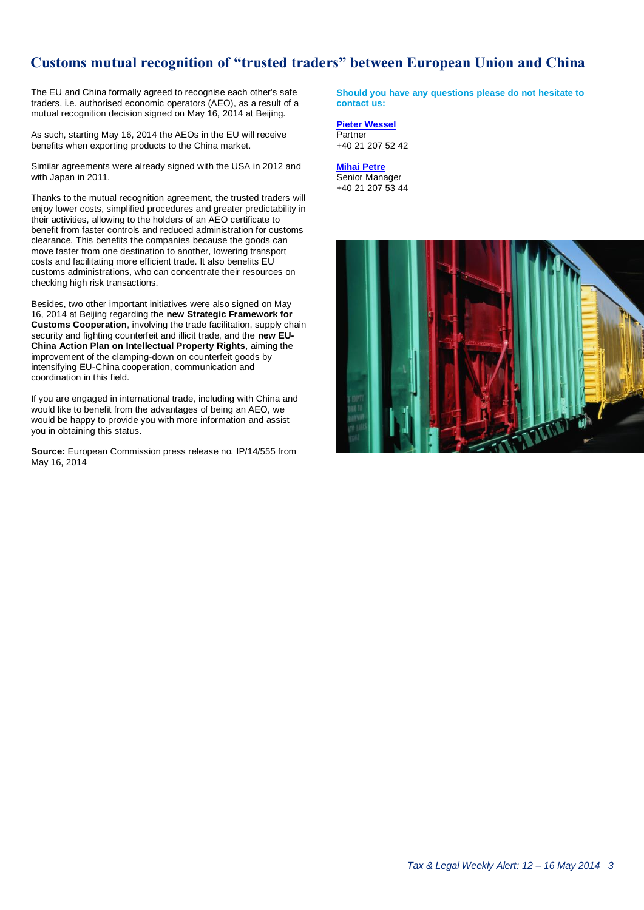## **Customs mutual recognition of "trusted traders" between European Union and China**

The EU and China formally agreed to recognise each other's safe traders, i.e. authorised economic operators (AEO), as a result of a mutual recognition decision signed on May 16, 2014 at Beijing.

As such, starting May 16, 2014 the AEOs in the EU will receive benefits when exporting products to the China market.

Similar agreements were already signed with the USA in 2012 and with Japan in 2011.

Thanks to the mutual recognition agreement, the trusted traders will enjoy lower costs, simplified procedures and greater predictability in their activities, allowing to the holders of an AEO certificate to benefit from faster controls and reduced administration for customs clearance. This benefits the companies because the goods can move faster from one destination to another, lowering transport costs and facilitating more efficient trade. It also benefits EU customs administrations, who can concentrate their resources on checking high risk transactions.

Besides, two other important initiatives were also signed on May 16, 2014 at Beijing regarding the **new Strategic Framework for Customs Cooperation**, involving the trade facilitation, supply chain security and fighting counterfeit and illicit trade, and the **new EU-China Action Plan on Intellectual Property Rights**, aiming the improvement of the clamping-down on counterfeit goods by intensifying EU-China cooperation, communication and coordination in this field.

If you are engaged in international trade, including with China and would like to benefit from the advantages of being an AEO, we would be happy to provide you with more information and assist you in obtaining this status.

**Source:** European Commission press release no. IP/14/555 from May 16, 2014

<span id="page-2-0"></span>**Should you have any questions please do not hesitate to contact us:**

**[Pieter Wessel](mailto:pwessel@deloittece.com) Partner** +40 21 207 52 42

**[Mihai Petre](mailto:mipetre@deloittece.com)** Senior Manager +40 21 207 53 44

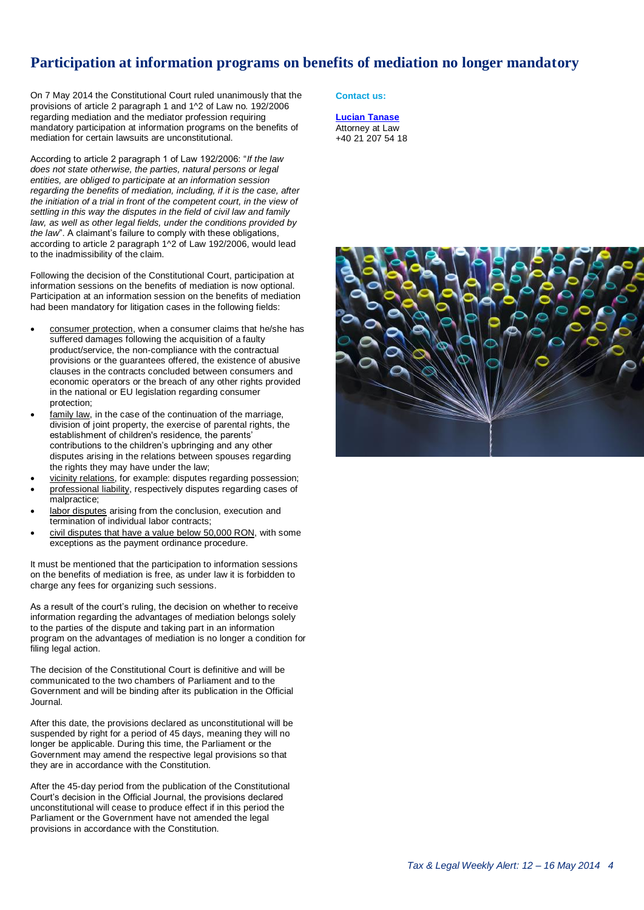## **Participation at information programs on benefits of mediation no longer mandatory**

On 7 May 2014 the Constitutional Court ruled unanimously that the provisions of article 2 paragraph 1 and 1^2 of Law no. 192/2006 regarding mediation and the mediator profession requiring mandatory participation at information programs on the benefits of mediation for certain lawsuits are unconstitutional.

According to article 2 paragraph 1 of Law 192/2006: "*If the law does not state otherwise, the parties, natural persons or legal entities, are obliged to participate at an information session regarding the benefits of mediation, including, if it is the case, after the initiation of a trial in front of the competent court, in the view of settling in this way the disputes in the field of civil law and family law, as well as other legal fields, under the conditions provided by the law*". A claimant's failure to comply with these obligations, according to article 2 paragraph 1^2 of Law 192/2006, would lead to the inadmissibility of the claim.

Following the decision of the Constitutional Court, participation at information sessions on the benefits of mediation is now optional. Participation at an information session on the benefits of mediation had been mandatory for litigation cases in the following fields:

- consumer protection, when a consumer claims that he/she has suffered damages following the acquisition of a faulty product/service, the non-compliance with the contractual provisions or the guarantees offered, the existence of abusive clauses in the contracts concluded between consumers and economic operators or the breach of any other rights provided in the national or EU legislation regarding consumer protection;
- family law, in the case of the continuation of the marriage, division of joint property, the exercise of parental rights, the establishment of children's residence, the parents' contributions to the children's upbringing and any other disputes arising in the relations between spouses regarding the rights they may have under the law;
- vicinity relations, for example: disputes regarding possession;
- professional liability, respectively disputes regarding cases of malpractice;
- labor disputes arising from the conclusion, execution and termination of individual labor contracts;
- civil disputes that have a value below 50,000 RON, with some exceptions as the payment ordinance procedure.

It must be mentioned that the participation to information sessions on the benefits of mediation is free, as under law it is forbidden to charge any fees for organizing such sessions.

As a result of the court's ruling, the decision on whether to receive information regarding the advantages of mediation belongs solely to the parties of the dispute and taking part in an information program on the advantages of mediation is no longer a condition for filing legal action.

The decision of the Constitutional Court is definitive and will be communicated to the two chambers of Parliament and to the Government and will be binding after its publication in the Official Journal.

After this date, the provisions declared as unconstitutional will be suspended by right for a period of 45 days, meaning they will no longer be applicable. During this time, the Parliament or the Government may amend the respective legal provisions so that they are in accordance with the Constitution.

After the 45-day period from the publication of the Constitutional Court's decision in the Official Journal, the provisions declared unconstitutional will cease to produce effect if in this period the Parliament or the Government have not amended the legal provisions in accordance with the Constitution.

#### <span id="page-3-0"></span>**Contact us:**

**[Lucian Tanase](mailto:ltanase@deloittece.com)** Attorney at Law +40 21 207 54 18

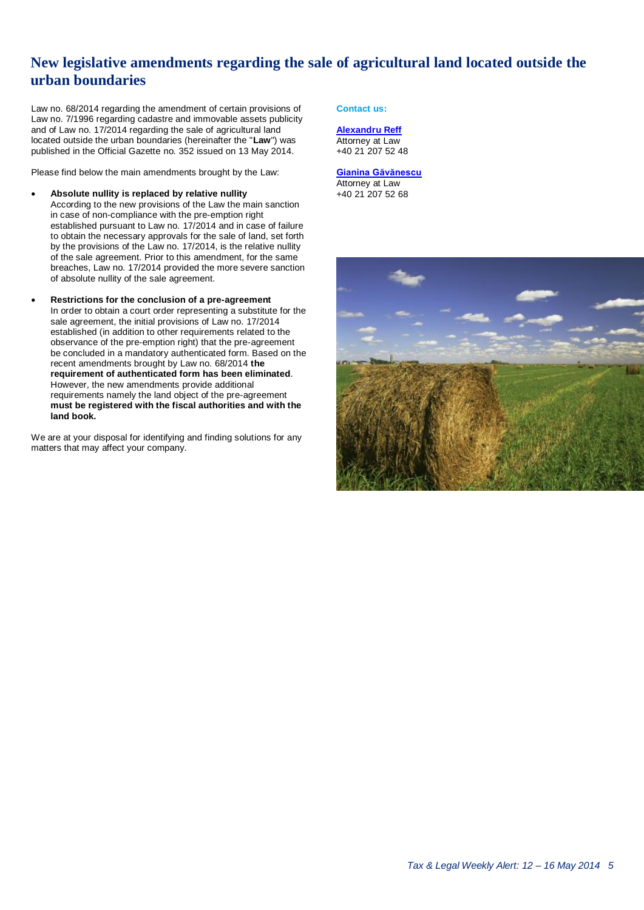## <span id="page-4-0"></span>**New legislative amendments regarding the sale of agricultural land located outside the urban boundaries**

Law no. 68/2014 regarding the amendment of certain provisions of Law no. 7/1996 regarding cadastre and immovable assets publicity and of Law no. 17/2014 regarding the sale of agricultural land located outside the urban boundaries (hereinafter the "**Law**") was published in the Official Gazette no. 352 issued on 13 May 2014.

Please find below the main amendments brought by the Law:

- **Absolute nullity is replaced by relative nullity** According to the new provisions of the Law the main sanction in case of non-compliance with the pre-emption right established pursuant to Law no. 17/2014 and in case of failure to obtain the necessary approvals for the sale of land, set forth by the provisions of the Law no. 17/2014, is the relative nullity of the sale agreement. Prior to this amendment, for the same breaches, Law no. 17/2014 provided the more severe sanction of absolute nullity of the sale agreement.
- **Restrictions for the conclusion of a pre-agreement** In order to obtain a court order representing a substitute for the sale agreement, the initial provisions of Law no. 17/2014 established (in addition to other requirements related to the observance of the pre-emption right) that the pre-agreement be concluded in a mandatory authenticated form. Based on the recent amendments brought by Law no. 68/2014 **the requirement of authenticated form has been eliminated**. However, the new amendments provide additional requirements namely the land object of the pre-agreement **must be registered with the fiscal authorities and with the land book.**

We are at your disposal for identifying and finding solutions for any matters that may affect your company.

**Contact us:**

**[Alexandru Reff](mailto:areff@deloittece.com)** Attorney at Law +40 21 207 52 48

#### **[Gianina Găvănescu](mailto:ggavanescu@deloittece.com)** Attorney at Law

+40 21 207 52 68

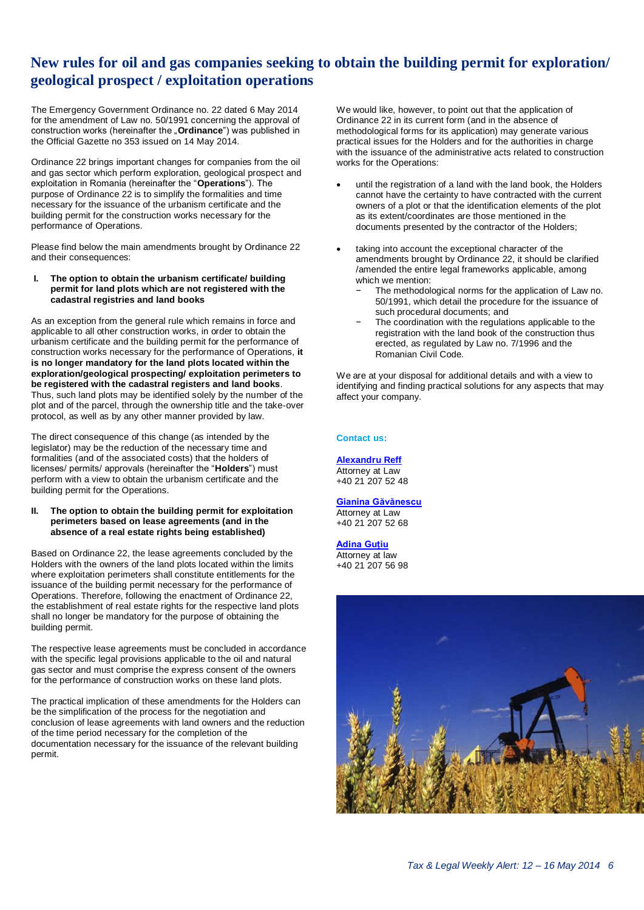## **New rules for oil and gas companies seeking to obtain the building permit for exploration/ geological prospect / exploitation operations**

The Emergency Government Ordinance no. 22 dated 6 May 2014 for the amendment of Law no. 50/1991 concerning the approval of construction works (hereinafter the "**Ordinance**") was published in the Official Gazette no 353 issued on 14 May 2014.

Ordinance 22 brings important changes for companies from the oil and gas sector which perform exploration, geological prospect and exploitation in Romania (hereinafter the "**Operations**"). The purpose of Ordinance 22 is to simplify the formalities and time necessary for the issuance of the urbanism certificate and the building permit for the construction works necessary for the performance of Operations.

Please find below the main amendments brought by Ordinance 22 and their consequences:

**I. The option to obtain the urbanism certificate/ building permit for land plots which are not registered with the cadastral registries and land books**

As an exception from the general rule which remains in force and applicable to all other construction works, in order to obtain the urbanism certificate and the building permit for the performance of construction works necessary for the performance of Operations, **it is no longer mandatory for the land plots located within the exploration/geological prospecting/ exploitation perimeters to be registered with the cadastral registers and land books**. Thus, such land plots may be identified solely by the number of the plot and of the parcel, through the ownership title and the take-over protocol, as well as by any other manner provided by law.

The direct consequence of this change (as intended by the legislator) may be the reduction of the necessary time and formalities (and of the associated costs) that the holders of licenses/ permits/ approvals (hereinafter the "**Holders**") must perform with a view to obtain the urbanism certificate and the building permit for the Operations.

#### **II. The option to obtain the building permit for exploitation perimeters based on lease agreements (and in the absence of a real estate rights being established)**

Based on Ordinance 22, the lease agreements concluded by the Holders with the owners of the land plots located within the limits where exploitation perimeters shall constitute entitlements for the issuance of the building permit necessary for the performance of Operations. Therefore, following the enactment of Ordinance 22, the establishment of real estate rights for the respective land plots shall no longer be mandatory for the purpose of obtaining the building permit.

The respective lease agreements must be concluded in accordance with the specific legal provisions applicable to the oil and natural gas sector and must comprise the express consent of the owners for the performance of construction works on these land plots.

The practical implication of these amendments for the Holders can be the simplification of the process for the negotiation and conclusion of lease agreements with land owners and the reduction of the time period necessary for the completion of the documentation necessary for the issuance of the relevant building permit.

<span id="page-5-0"></span>We would like, however, to point out that the application of Ordinance 22 in its current form (and in the absence of methodological forms for its application) may generate various practical issues for the Holders and for the authorities in charge with the issuance of the administrative acts related to construction works for the Operations:

- until the registration of a land with the land book, the Holders cannot have the certainty to have contracted with the current owners of a plot or that the identification elements of the plot as its extent/coordinates are those mentioned in the documents presented by the contractor of the Holders;
- taking into account the exceptional character of the amendments brought by Ordinance 22, it should be clarified /amended the entire legal frameworks applicable, among which we mention:
	- The methodological norms for the application of Law no. 50/1991, which detail the procedure for the issuance of such procedural documents; and
	- The coordination with the regulations applicable to the registration with the land book of the construction thus erected, as regulated by Law no. 7/1996 and the Romanian Civil Code.

We are at your disposal for additional details and with a view to identifying and finding practical solutions for any aspects that may affect your company.

#### **Contact us:**

### **[Alexandru Reff](mailto:areff@deloittece.com)**

Attorney at Law +40 21 207 52 48

### **[Gianina Găvănescu](mailto:ggavanescu@deloittece.com)**

Attorney at Law +40 21 207 52 68

#### **[Adina Guțiu](mailto:agutiu@deloittece.com)**

Attorney at law +40 21 207 56 98